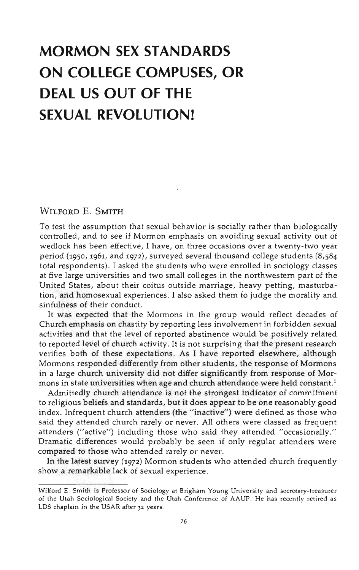# **MORMON SEX STANDARDS ON COLLEGE COMPUSES, OR DEAL US OUT OF THE SEXUAL REVOLUTION!**

# WILFORD E. SMITH

To test the assumption that sexual behavior is socially rather than biologically controlled, and to see if Mormon emphasis on avoiding sexual activity out of wedlock has been effective, I have, on three occasions over a twenty-two year period (1950, 1961, and 1972), surveyed several thousand college students (8,584 total respondents). I asked the students who were enrolled in sociology classes at five large universities and two small colleges in the northwestern part of the United States, about their coitus outside marriage, heavy petting, masturbation, and homosexual experiences. I also asked them to judge the morality and sinfulness of their conduct.

It was expected that the Mormons in the group would reflect decades of Church emphasis on chastity by reporting less involvement in forbidden sexual activities and that the level of reported abstinence would be positively related to reported level of church activity. It is not surprising that the present research verifies both of these expectations. As I have reported elsewhere, although Mormons responded differently from other students, the response of Mormons in a large church university did not differ significantly from response of Mormons in state universities when age and church attendance were held constant.<sup>1</sup>

Admittedly church attendance is not the strongest indicator of commitment to religious beliefs and standards, but it does appear to be one reasonably good index. Infrequent church attenders (the "inactive") were defined as those who said they attended church rarely or never. All others were classed as frequent attenders ("active") including those who said they attended "occasionally." Dramatic differences would probably be seen if only regular attenders were compared to those who attended rarely or never.

In the latest survey (1972) Mormon students who attended church frequently show a remarkable lack of sexual experience.

Wilford E. Smith is Professor of Sociology at Brigham Young University and secretary-treasurer of the Utah Sociological Society and the Utah Conference of AAUP. He has recently retired as LDS chaplain in the USAR after 32 years.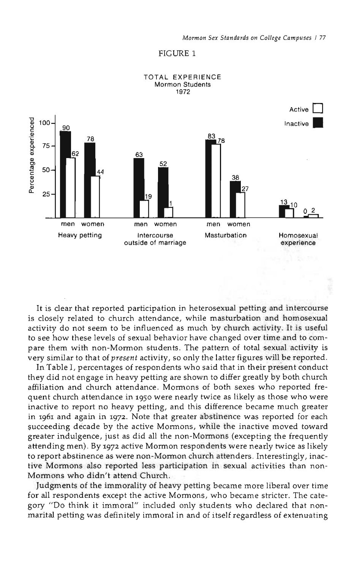#### FIGURE 1



TOTAL EXPERIENCE Mormon Students

It is clear that reported participation in heterosexual petting and intercourse is closely related to church attendance, while masturbation and homosexual activity do not seem to be influenced as much by church activity. It is useful to see how these levels of sexual behavior have changed over time and to compare them with non-Mormon students. The pattern of total sexual activity is very similar to that of *present* activity, so only the latter figures will be reported.

In Table I, percentages of respondents who said that in their present conduct they did not engage in heavy petting are shown to differ greatly by both church affiliation and church attendance. Mormons of both sexes who reported frequent church attendance in 1950 were nearly twice as likely as those who were inactive to report no heavy petting, and this difference became much greater in 1961 and again in 1972. Note that greater abstinence was reported for each succeeding decade by the active Mormons, while the inactive moved toward greater indulgence, just as did all the non-Mormons (excepting the frequently attending men). By 1972 active Mormon respondents were nearly twice as likely to report abstinence as were non-Mormon church attenders. Interestingly, inactive Mormons also reported less participation in sexual activities than non-Mormons who didn't attend Church.

Judgments of the immorality of heavy petting became more liberal over time for all respondents except the active Mormons, who became stricter. The category "Do think it immoral" included only students who declared that nonmarital petting was definitely immoral in and of itself regardless of extenuating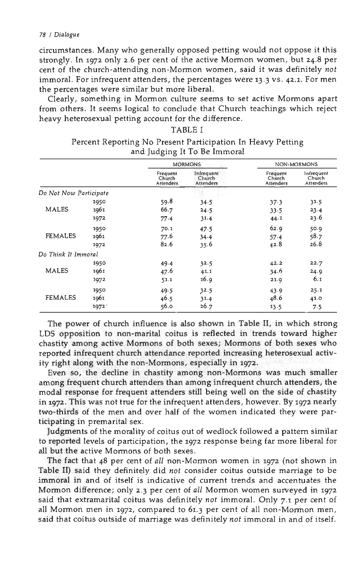#### *78 I Dialogue*

circumstances. Many who generally opposed petting would not oppose it this strongly. In 1972 only 2.6 per cent of the active Mormon women, but 24.S per cent of the church-attending non-Mormon women, said it was definitely *not* immoral. For infrequent attenders, the percentages were 13.3 vs. 42.1. For men the percentages were similar but more liberal.

Clearly, something in Mormon culture seems to set active Mormons apart from others. It seems logical to conclude that Church teachings which reject heavy heterosexual petting account for the difference.

|                        |      | <b>MORMONS</b>                         |                                   | NON-MORMONS                     |                                   |
|------------------------|------|----------------------------------------|-----------------------------------|---------------------------------|-----------------------------------|
|                        |      | Frequent<br>Church<br><b>Attenders</b> | Infrequent<br>Church<br>Attenders | Frequent<br>Church<br>Attenders | Infrequent<br>Church<br>Attenders |
| Do Not Now Participate |      |                                        |                                   |                                 |                                   |
|                        | 1950 | 59.8                                   | 34.5                              | 37.3                            | 31.5                              |
| MALES                  | 1961 | 66.7                                   | 24.5                              | 33.5                            | 23.4                              |
|                        | 1972 | 77.4                                   | 31.4                              | 44.1                            | 23.6                              |
| <b>FEMALES</b>         | 1950 | 70.1                                   | 47.5                              | 62.9                            | 50.9                              |
|                        | 1961 | 77.6                                   | $34 - 4$                          | $57 - 4$                        | 58.7                              |
|                        | 1972 | 82.6                                   | 35.6                              | 42.8                            | 26.8                              |
| Do Think It Immoral    |      |                                        |                                   |                                 |                                   |
| <b>MALES</b>           | 1950 | 49.4                                   | 32.5                              | 42.2                            | 22.7                              |
|                        | 1961 | 47.6                                   | 41.1                              | 34.6                            | 24.9                              |
|                        | 1972 | 51.1                                   | 16.9                              | 21.9                            | 6.1                               |
| <b>FEMALES</b>         | 1950 | 49.5                                   | 32.5                              | 43.9                            | 25.1                              |
|                        | 1961 | 46.5                                   | 31.4                              | 48.6                            | 41.0                              |
|                        | 1972 | 56.0                                   | 26.7                              | $13 - 5$                        | 7.5                               |

## TABLE I Percent Reporting No Present Participation In Heavy Petting and Judging It To Be Immoral

The power of church influence is also shown in Table II, in which strong LDS opposition to non-marital coitus is reflected in trends toward higher chastity among active Mormons of both sexes; Mormons of both sexes who reported infrequent church attendance reported increasing heterosexual activity right along with the non-Mormons, especially in 1972.

Even so, the decline in chastity among non-Mormons was much smaller among frequent church attenders than among infrequent church attenders, the modal response for frequent attenders still being well on the side of chastity in 1972. This was not true for the infrequent attenders, however. By 1972 nearly two-thirds of the men and over half of the women indicated they were participating in premarital sex.

Judgments of the morality of coitus out of wedlock followed a pattern similar to reported levels of participation, the 1972 response being far more liberal for all but the active Mormons of both sexes.

The fact that 48 per cent of *all* non-Mormon women in 1972 (not shown in Table II) said they definitely did *not* consider coitus outside marriage to be immoral in and of itself is indicative of current trends and accentuates the Mormon difference; only 2.3 per cent of *all* Mormon women surveyed in 1972 said that extramarital coitus was definitely *not* immoral. Only 7.1 per cent of all Mormon men in 1972, compared to 61.3 per cent of all non-Mormon men, said that coitus outside of marriage was definitely *not* immoral in and of itself.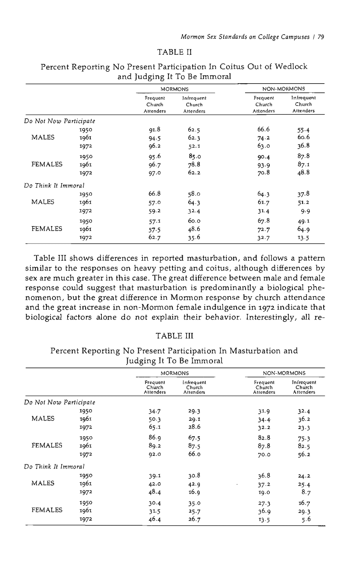#### TABLE II

|                        |      | <b>MORMONS</b>                  |                                   | NON-MORMONS                     |                                   |
|------------------------|------|---------------------------------|-----------------------------------|---------------------------------|-----------------------------------|
|                        |      | Frequent<br>Church<br>Attenders | Infrequent<br>Church<br>Attenders | Frequent<br>Church<br>Attenders | Infrequent<br>Church<br>Attenders |
| Do Not Now Participate |      |                                 |                                   |                                 |                                   |
| <b>MALES</b>           | 1950 | 91.8                            | 62.5                              | 66.6                            | 55.4                              |
|                        | 1961 | 94.5                            | 62.3                              | 74.2                            | 60.6                              |
|                        | 1972 | 96.2                            | 52.1                              | 63.0                            | 36.8                              |
| <b>FEMALES</b>         | 1950 | 95.6                            | 85.0                              | 90.4                            | 87.8                              |
|                        | 1961 | 96.7                            | 78.8                              | 93.9                            | 87.1                              |
|                        | 1972 | 97.0                            | 62.2                              | 70.8                            | 48.8                              |
| Do Think It Immoral    |      |                                 |                                   |                                 |                                   |
| MALES                  | 1950 | 66.8                            | 58.0                              | 64.3                            | 37.8                              |
|                        | 1961 | 57.0                            | 64.3                              | 61.7                            | 51.2                              |
|                        | 1972 | 59.2                            | 32.4                              | 31.4                            | 99                                |
| <b>FEMALES</b>         | 1950 | 57.1                            | 60.0                              | 67.8                            | 49.1                              |
|                        | 1961 | 57.5                            | 48.6                              | 72.7                            | 64.9                              |
|                        | 1972 | 62.7                            | 35.6                              | 32.7                            | 13.5                              |

# Percent Reporting No Present Participation In Coitus Out of Wedlock and Judging It To Be Immoral

Table III shows differences in reported masturbation, and follows a pattern similar to the responses on heavy petting and coitus, although differences by sex are much greater in this case. The great difference between male and female response could suggest that masturbation is predominantly a biological phenomenon, but the great difference in Mormon response by church attendance and the great increase in non-Mormon female indulgence in 1972 indicate that biological factors alone do not explain their behavior. Interestingly, all re-

## TABLE III

Percent Reporting No Present Participation In Masturbation and Judging It To Be Immoral

|                        |      | <b>MORMONS</b>                  |                                   | NON-MORMONS                     |                                   |
|------------------------|------|---------------------------------|-----------------------------------|---------------------------------|-----------------------------------|
|                        |      | Frequent<br>Church<br>Attenders | Infrequent<br>Church<br>Attenders | Frequent<br>Church<br>Attenders | Infrequent<br>Church<br>Attenders |
| Do Not Now Participate |      |                                 |                                   |                                 |                                   |
| <b>MALES</b>           | 1950 | 34.7                            | 29.3                              | 31.9                            | 32.4                              |
|                        | 1961 | 50.3                            | 29.1                              | $34 - 4$                        | 36.2                              |
|                        | 1972 | 65.1                            | 28.6                              | 32.2                            | 23.3                              |
| <b>FEMALES</b>         | 1950 | 86.9                            | 67.5                              | 82.8                            | 75.3                              |
|                        | 1961 | 89.2                            | 87.5                              | 87.8                            | 82.5                              |
|                        | 1972 | 92.0                            | 66.0                              | 70.0                            | 56.2                              |
| Do Think It Immoral    |      |                                 |                                   |                                 |                                   |
| <b>MALES</b>           | 1950 | 39.1                            | 30.8                              | 36.8                            | 24.2                              |
|                        | 1961 | 42.0                            | 42.9                              | 37.2<br>$\blacksquare$          | 25.4                              |
|                        | 1972 | 48.4                            | 16.9                              | 19.0                            | 8.7                               |
| <b>FEMALES</b>         | 1950 | 30.4                            | 35.0                              | 27.3                            | 16.7                              |
|                        | 1961 | 31.5                            | 25.7                              | 36.9                            | 29.3                              |
|                        | 1972 | 46.4                            | 26.7                              | 13.5                            | 5.6                               |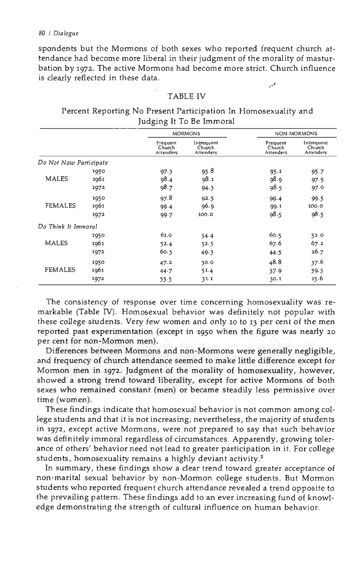#### *80 I Dialogue*

spondents but the Mormons of both sexes who reported frequent church attendance had become more liberal in their judgment of the morality of masturbation by 1972. The active Mormons had become more strict. Church influence is clearly reflected in these data. ,"«

## TABLE IV

|                        |      | <b>MORMONS</b>                  |                                   | NON-MORMONS                     |                                   |
|------------------------|------|---------------------------------|-----------------------------------|---------------------------------|-----------------------------------|
|                        |      | Frequent<br>Church<br>Attenders | Infrequent<br>Church<br>Attenders | Frequent<br>Church<br>Attenders | Infrequent<br>Church<br>Attenders |
| Do Not Now Participate |      |                                 |                                   |                                 |                                   |
|                        | 1950 | 97.3                            | 95.8                              | 95.1                            | 95.7                              |
| <b>MALES</b>           | 1961 | 98.4                            | 98.1                              | 98.9                            | 97.5                              |
|                        | 1972 | 98.7                            | 94.3                              | 98.5                            | 97.0                              |
| FEMALES                | 1950 | 97.8                            | 92.5                              | 99.4                            | 99.5                              |
|                        | 1961 | 99.4                            | 96.9                              | 99.1                            | 100.0                             |
|                        | 1972 | 99.7                            | 100.0                             | 98.5                            | 98.5                              |
| Do Think It Immoral    |      |                                 |                                   |                                 |                                   |
| MALES                  | 1950 | 61.0                            | 54.4                              | 60.5                            | 52.0                              |
|                        | 1961 | 52.4                            | 52.5                              | 67.6                            | 67.2                              |
|                        | 1972 | 60.3                            | 49.3                              | 44.5                            | 26.7                              |
| <b>FEMALES</b>         | 1950 | 47.2                            | 30.0                              | 48.8                            | 37.6                              |
|                        | 1961 | 44.7                            | 51.4                              | 57.9                            | 59.5                              |
|                        | 1972 | 55.5                            | 31.1                              | 30.1                            | 15.6                              |

### Percent Reporting No Present Participation In Homosexuality and Judging It To Be Immoral

The consistency of response over time concerning homosexuality was remarkable (Table IV). Homosexual behavior was definitely not popular with these college students. Very few women and only 10 to 13 per cent of the men reported past experimentation (except in 1950 when the figure was nearly 20 per cent for non-Mormon men).

Differences between Mormons and non-Mormons were generally negligible, and frequency of church attendance seemed to make little difference except for Mormon men in 1972. Judgment of the morality of homosexuality, however, showed a strong trend toward liberality, except for active Mormons of both sexes who remained constant (men) or became steadily less permissive over time (women).

These findings indicate that homosexual behavior is not common among college students and that it is not increasing; nevertheless, the majority of students in 1972, except active Mormons, were not prepared to say that such behavior was definitely immoral regardless of circumstances. Apparently, growing tolerance of others' behavior need not lead to greater participation in it. For college students, homosexuality remains a highly deviant activity.<sup>2</sup>

In summary, these findings show a clear trend toward greater acceptance of non-marital sexual behavior by non-Mormon college students. But Mormon students who reported frequent church attendance revealed a trend opposite to the prevailing pattern. These findings add to an ever increasing fund of knowledge demonstrating the strength of cultural influence on human behavior.